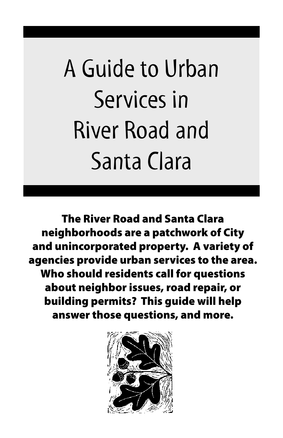# A Guide to Urban Services in River Road and Santa Clara

The River Road and Santa Clara neighborhoods are a patchwork of City and unincorporated property. A variety of agencies provide urban services to the area. Who should residents call for questions about neighbor issues, road repair, or building permits? This guide will help answer those questions, and more.

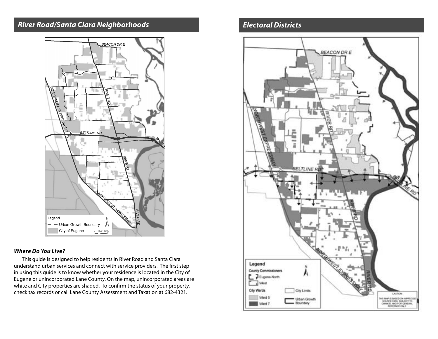## **River Road/Santa Clara Neighborhoods**



## **Where Do You Live?**

This guide is designed to help residents in River Road and Santa Clara understand urban services and connect with service providers. The first step in using this guide is to know whether your residence is located in the City of Eugene or unincorporated Lane County. On the map, unincorporated areas are white and City properties are shaded. To confirm the status of your property, check tax records or call Lane County Assessment and Taxation at 682-4321.

## **Electoral Districts**

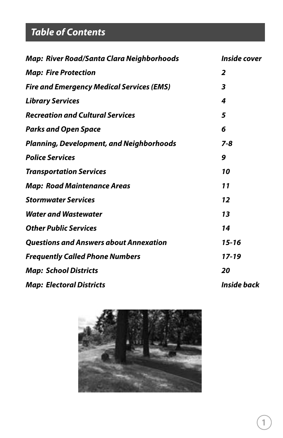# **Table of Contents**

| <b>Inside cover</b> |
|---------------------|
| $\overline{2}$      |
| 3                   |
| 4                   |
| 5                   |
| 6                   |
| 7-8                 |
| 9                   |
| 10                  |
| 11                  |
| 12                  |
| 13                  |
| 14                  |
| $15 - 16$           |
| 17-19               |
| 20                  |
| Inside back         |
|                     |

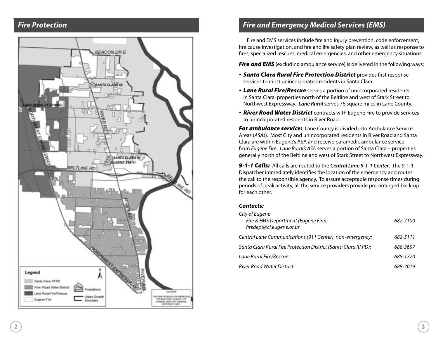## **Fire Protection**



## **Fire and Emergency Medical Services (EMS)**

Fire and EMS services include fire and injury prevention, code enforcement, fire cause investigation, and fire and life safety plan review, as well as response to fires, specialized rescues, medical emergencies, and other emergency situations.

**Fire and EMS** (excluding ambulance service) is delivered in the following ways:

- **Santa Clara Rural Fire Protection District** provides first response services to most unincorporated residents in Santa Clara.
- Lane Rural Fire/Rescue serves a portion of unincorporated residents in Santa Clara: properties north of the Beltline and west of Stark Street to Northwest Expressway. **Lane Rural** serves 76 square miles in Lane County.
- River Road Water District contracts with Eugene Fire to provide services to unincorporated residents in River Road.

**For ambulance service:** Lane County is divided into Ambulance Service Areas (ASAs). Most City and unincorporated residents in River Road and Santa Clara are within Eugene's ASA and receive paramedic ambulance service from Eugene Fire. Lane Rural's ASA serves a portion of Santa Clara – properties generally north of the Beltline and west of Stark Street to Northwest Expressway.

9-1-1 Calls: All calls are routed to the **Central Lane 9-1-1 Center**. The 9-1-1 Dispatcher immediately identifies the location of the emergency and routes the call to the responsible agency. To assure acceptable response times during periods of peak activity, all the service providers provide pre-arranged back-up for each other.

#### **Contacts:**

| City of Eugene<br>Fire & EMS Department (Eugene Fire):<br>firedept@ci.eugene.or.us | 682-7100 |
|------------------------------------------------------------------------------------|----------|
| Central Lane Communications (911 Center), non-emergency:                           | 682-5111 |
| Santa Clara Rural Fire Protection District (Santa Clara RFPD):                     | 688-3697 |
| Lane Rural Fire/Rescue:                                                            | 688-1770 |
| River Road Water District:                                                         | 688-2019 |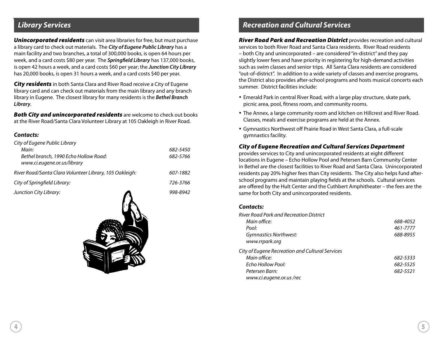## **Library Services**

**Unincorporated residents** can visit area libraries for free, but must purchase a library card to check out materials. The **City of Eugene Public Library** has a main facility and two branches, a total of 300,000 books, is open 64 hours per week, and a card costs \$80 per year. The **Springfield Library** has 137,000 books, is open 42 hours a week, and a card costs \$60 per year; the **Junction City Library** has 20,000 books, is open 31 hours a week, and a card costs \$40 per year.

**City residents** in both Santa Clara and River Road receive a City of Eugene library card and can check out materials from the main library and any branch library in Eugene. The closest library for many residents is the **Bethel Branch Library**.

**Both City and unincorporated residents** are welcome to check out books at the River Road/Santa Clara Volunteer Library at 105 Oakleigh in River Road.

#### **Contacts:**

| City of Eugene Public Library                                        |          |
|----------------------------------------------------------------------|----------|
| Main:                                                                | 682-5450 |
| Bethel branch, 1990 Echo Hollow Road:<br>www.ci.eugene.or.us/library | 682-5766 |
| River Road/Santa Clara Volunteer Library, 105 Oakleigh:              | 607-1882 |
| City of Springfield Library:                                         | 726-3766 |
|                                                                      |          |



## **Recreation and Cultural Services**

**River Road Park and Recreation District** provides recreation and cultural services to both River Road and Santa Clara residents. River Road residents – both City and unincorporated – are considered "in-district" and they pay slightly lower fees and have priority in registering for high-demand activities such as swim classes and senior trips. All Santa Clara residents are considered "out-of-district". In addition to a wide variety of classes and exercise programs, the District also provides after-school programs and hosts musical concerts each summer. District facilities include:

- Emerald Park in central River Road, with a large play structure, skate park, picnic area, pool, fitness room, and community rooms.
- The Annex, a large community room and kitchen on Hillcrest and River Road. Classes, meals and exercise programs are held at the Annex.
- Gymnastics Northwest off Prairie Road in West Santa Clara, a full-scale gymnastics facility.

#### City of Eugene Recreation and Cultural Services Department

provides services to City and unincorporated residents at eight different locations in Eugene – Echo Hollow Pool and Petersen Barn Community Center in Bethel are the closest facilities to River Road and Santa Clara. Unincorporated residents pay 20% higher fees than City residents. The City also helps fund afterschool programs and maintain playing fields at the schools. Cultural services are offered by the Hult Center and the Cuthbert Amphitheater – the fees are the same for both City and unincorporated residents.

#### **Contacts:**

| River Road Park and Recreation District         |          |
|-------------------------------------------------|----------|
| Main office:                                    | 688-4052 |
| Pool:                                           | 461-7777 |
| <b>Gymnastics Northwest:</b>                    | 688-8955 |
| www.rrpark.org                                  |          |
| City of Eugene Recreation and Cultural Services |          |
| Main office:                                    | 682-5333 |
| Echo Hollow Pool:                               | 682-5525 |
| Petersen Barn:                                  | 682-5521 |
| www.ci.eugene.or.us/rec                         |          |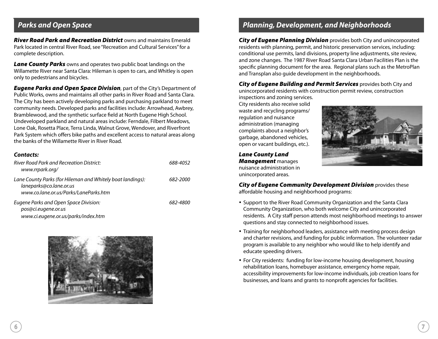## **Parks and Open Space**

**River Road Park and Recreation District** owns and maintains Emerald Park located in central River Road, see "Recreation and Cultural Services" for a complete description.

**Lane County Parks** owns and operates two public boat landings on the Willamette River near Santa Clara: Hileman is open to cars, and Whitley is open only to pedestrians and bicycles.

**Eugene Parks and Open Space Division**, part of the City's Department of Public Works, owns and maintains all other parks in River Road and Santa Clara. The City has been actively developing parks and purchasing parkland to meet community needs. Developed parks and facilities include: Arrowhead, Awbrey, Bramblewood, and the synthetic surface field at North Eugene High School. Undeveloped parkland and natural areas include: Ferndale, Filbert Meadows, Lone Oak, Rosetta Place, Terra Linda, Walnut Grove, Wendover, and Riverfront Park System which offers bike paths and excellent access to natural areas along the banks of the Willamette River in River Road.

#### **Contacts:**

| River Road Park and Recreation District:<br>www.rrpark.org/                                                                    | 688-4052 |
|--------------------------------------------------------------------------------------------------------------------------------|----------|
| Lane County Parks (for Hileman and Whitely boat landings):<br>laneparks@co.lane.or.us<br>www.co.lane.or.us/Parks/LaneParks.htm | 682-2000 |
| Eugene Parks and Open Space Division:<br>pos@ci.eugene.or.us<br>www.ci.eugene.or.us/parks/index.htm                            | 682-4800 |



## **Planning, Development, and Neighborhoods**

**City of Eugene Planning Division** provides both City and unincorporated residents with planning, permit, and historic preservation services, including: conditional use permits, land divisions, property line adjustments, site review, and zone changes. The 1987 River Road Santa Clara Urban Facilities Plan is the specific planning document for the area. Regional plans such as the MetroPlan and Transplan also guide development in the neighborhoods.

City of Eugene Building and Permit Services provides both City and unincorporated residents with construction permit review, construction

inspections and zoning services. City residents also receive solid waste and recycling programs/ regulation and nuisance administration (managing complaints about a neighbor's garbage, abandoned vehicles, open or vacant buildings, etc.).

Lane County Land **Management** manages nuisance administration in unincorporated areas.



**City of Eugene Community Development Division** provides these affordable housing and neighborhood programs:

- Support to the River Road Community Organization and the Santa Clara Community Organization, who both welcome City and unincorporated residents. A City staff person attends most neighborhood meetings to answer questions and stay connected to neighborhood issues.
- Training for neighborhood leaders, assistance with meeting process design and charter revisions, and funding for public information. The volunteer radar program is available to any neighbor who would like to help identify and educate speeding drivers.
- For City residents: funding for low-income housing development, housing rehabilitation loans, homebuyer assistance, emergency home repair, accessibility improvements for low-income individuals, job creation loans for businesses, and loans and grants to nonprofit agencies for facilities.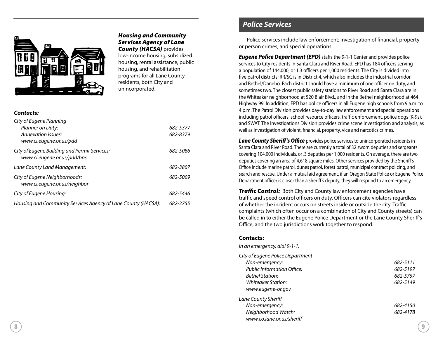

#### Housing and Community Services Agency of Lane **County (HACSA)** provides

low-income housing, subsidized housing, rental assistance, public housing, and rehabilitation programs for all Lane County residents, both City and unincorporated.

#### **Contacts:**

| City of Eugene Planning                                                     |          |
|-----------------------------------------------------------------------------|----------|
| Planner on Duty:                                                            | 682-5377 |
| Annexation issues:                                                          | 682-8379 |
| www.ci.eugene.or.us/pdd                                                     |          |
| City of Eugene Building and Permit Services:<br>www.ci.eugene.or.us/pdd/bps | 682-5086 |
| Lane County Land Management:                                                | 682-3807 |
| City of Eugene Neighborhoods:<br>www.ci.eugene.or.us/neighbor               | 682-5009 |
| City of Eugene Housing:                                                     | 682-5446 |
| Housing and Community Services Agency of Lane County (HACSA):               | 682-3755 |

## **Police Services**

Police services include law enforcement; investigation of financial, property or person crimes; and special operations.

**Eugene Police Department (EPD)** staffs the 9-1-1 Center and provides police services to City residents in Santa Clara and River Road. EPD has 184 officers serving a population of 144,000, or 1.3 officers per 1,000 residents. The City is divided into five patrol districts; RR/SC is in District 4, which also includes the industrial corridor and Bethel/Danebo. Each district should have a minimum of one officer on duty, and sometimes two. The closest public safety stations to River Road and Santa Clara are in the Whiteaker neighborhood at 520 Blair Blvd., and in the Bethel neighborhood at 464 Highway 99. In addition, EPD has police officers in all Eugene high schools from 9 a.m. to 4 p.m. The Patrol Division provides day-to-day law enforcement and special operations including patrol officers, school resource officers, traffic enforcement, police dogs (K-9s), and SWAT. The Investigations Division provides crime scene investigation and analysis, as well as investigation of violent, financial, property, vice and narcotics crimes.

Lane County Sheriff's Office provides police services to unincorporated residents in Santa Clara and River Road. There are currently a total of 32 sworn deputies and sergeants covering 104,000 individuals, or .3 deputies per 1,000 residents. On average, there are two deputies covering an area of 4,618 square miles. Other services provided by the Sheriff's Office include marine patrol, dunes patrol, forest patrol, municipal contract policing, and search and rescue. Under a mutual aid agreement, if an Oregon State Police or Eugene Police Department officer is closer than a sheriff's deputy, they will respond to an emergency.

**Traffic Control:** Both City and County law enforcement agencies have traffic and speed control officers on duty. Officers can cite violators regardless of whether the incident occurs on streets inside or outside the city. Traffic complaints (which often occur on a combination of City and County streets) can be called in to either the Eugene Police Department or the Lane County Sheriff's Office, and the two jurisdictions work together to respond.

#### **Contacts:**

In an emergency, dial 9-1-1.

| City of Eugene Police Department  |          |
|-----------------------------------|----------|
| Non-emergency:                    | 682-5111 |
| <b>Public Information Office:</b> | 682-5197 |
| Bethel Station:                   | 682-5757 |
| Whiteaker Station:                | 682-5149 |
| www.eugene-or.gov                 |          |
| <b>Lane County Sheriff</b>        |          |
| Non-emergency:                    | 682-4150 |
| Neighborhood Watch:               | 682-4178 |
| www.co.lane.or.us/sheriff         |          |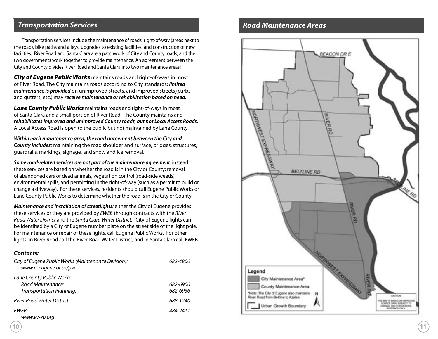## **Transportation Services**

Transportation services include the maintenance of roads, right-of-way (areas next to the road), bike paths and alleys, upgrades to existing facilities, and construction of new facilities. River Road and Santa Clara are a patchwork of City and County roads, and the two governments work together to provide maintenance. An agreement between the City and County divides River Road and Santa Clara into two maintenance areas:

City of Eugene Public Works maintains roads and right-of-ways in most of River Road. The City maintains roads according to City standards: **limited maintenance is provided** on unimproved streets, and improved streets (curbs and gutters, etc.) may **receive maintenance or rehabilitation based on need.**

Lane County Public Works maintains roads and right-of-ways in most of Santa Clara and a small portion of River Road. The County maintains and **rehabilitates improved and unimproved County roads, but not Local Access Roads**. A Local Access Road is open to the public but not maintained by Lane County.

**Within each maintenance area, the road agreement between the City and County includes:** maintaining the road shoulder and surface, bridges, structures, guardrails, markings, signage, and snow and ice removal.

**Some road-related services are not part of the maintenance agreement**: instead these services are based on whether the road is in the City or County: removal of abandoned cars or dead animals, vegetation control (road-side weeds), environmental spills, and permitting in the right-of-way (such as a permit to build or change a driveway). For these services, residents should call Eugene Public Works or Lane County Public Works to determine whether the road is in the City or County.

**Maintenance and installation of streetlights:** either the City of Eugene provides these services or they are provided by EWEB through contracts with the River Road Water District and the Santa Clara Water District. City of Eugene lights can be identified by a City of Eugene number plate on the street side of the light pole. For maintenance or repair of these lights, call Eugene Public Works. For other lights: in River Road call the River Road Water District, and in Santa Clara call EWEB.

#### **Contacts:**

| City of Eugene Public Works (Maintenance Division):<br>www.ci.eugene.or.us/pw | 682-4800 |
|-------------------------------------------------------------------------------|----------|
| Lane County Public Works                                                      |          |
| Road Maintenance:                                                             | 682-6900 |
| Transportation Planning:                                                      | 682-6936 |
| River Road Water District:                                                    | 688-1240 |
| FWFB:                                                                         | 484-2411 |
| www.eweb.org                                                                  |          |

## **Road Maintenance Areas**

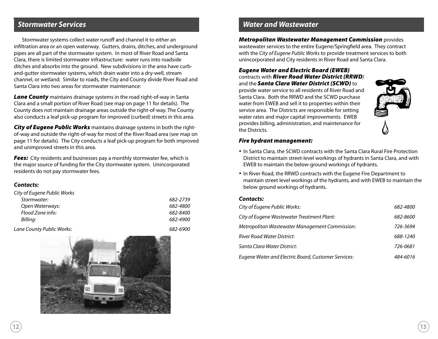## **Stormwater Services**

Stormwater systems collect water runoff and channel it to either an infiltration area or an open waterway. Gutters, drains, ditches, and underground pipes are all part of the stormwater system. In most of River Road and Santa Clara, there is limited stormwater infrastructure: water runs into roadside ditches and absorbs into the ground. New subdivisions in the area have curband-gutter stormwater systems, which drain water into a dry-well, stream channel, or wetland. Similar to roads, the City and County divide River Road and Santa Clara into two areas for stormwater maintenance:

**Lane County** maintains drainage systems in the road right-of-way in Santa Clara and a small portion of River Road (see map on page 11 for details). The County does not maintain drainage areas outside the right-of-way. The County also conducts a leaf pick-up program for improved (curbed) streets in this area.

City of Eugene Public Works maintains drainage systems in both the rightof-way and outside the right-of-way for most of the River Road area (see map on page 11 for details). The City conducts a leaf pick-up program for both improved and unimproved streets in this area.

**Fees:** City residents and businesses pay a monthly stormwater fee, which is the major source of funding for the City stormwater system. Unincorporated residents do not pay stormwater fees.

#### **Contacts:**

| City of Eugene Public Works |               |
|-----------------------------|---------------|
| Stormwater:                 | 682-2739      |
| Open Waterways:             | 682-4800      |
| Flood Zone info:            | 682-8400      |
| Billing:                    | 682-4900      |
|                             | - - - - - - - |

Lane County Public Works: 682-6900



## **Water and Wastewater**

Metropolitan Wastewater Management Commission provides wastewater services to the entire Eugene/Springfield area. They contract with the City of Eugene Public Works to provide treatment services to both unincorporated and City residents in River Road and Santa Clara.

## Eugene Water and Electric Board (EWEB) contracts with River Road Water District (RRWD)

and the **Santa Clara Water District (SCWD)** to provide water service to all residents of River Road and Santa Clara. Both the RRWD and the SCWD purchase water from EWEB and sell it to properties within their service area. The Districts are responsible for setting water rates and major capital improvements. EWEB provides billing, administration, and maintenance for the Districts.



#### Fire hydrant management:

- In Santa Clara, the SCWD contracts with the Santa Clara Rural Fire Protection District to maintain street-level workings of hydrants in Santa Clara, and with EWEB to maintain the below-ground workings of hydrants.
- In River Road, the RRWD contracts with the Eugene Fire Department to maintain street level workings of the hydrants, and with EWEB to maintain the below ground workings of hydrants.

#### **Contacts:**

| City of Eugene Public Works:                        | 682-4800 |
|-----------------------------------------------------|----------|
| City of Eugene Wastewater Treatment Plant:          | 682-8600 |
| Metropolitan Wastewater Management Commission:      | 726-3694 |
| River Road Water District:                          | 688-1240 |
| Santa Clara Water District:                         | 726-0681 |
| Eugene Water and Electric Board, Customer Services: | 484-6016 |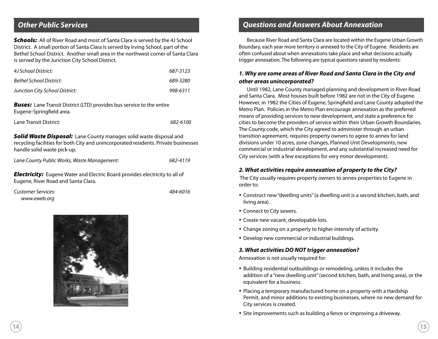## **Other Public Services**

**Schools:** All of River Road and most of Santa Clara is served by the 4J School District. A small portion of Santa Clara is served by Irving School, part of the Bethel School District. Another small area in the northwest corner of Santa Clara is served by the Junction City School District.

| 4J School District:            | 687-3123 |
|--------------------------------|----------|
| Bethel School District:        | 689-3280 |
| Junction City School District: | 998-6311 |

**Buses:** Lane Transit District (LTD) provides bus service to the entire Eugene-Springfield area.

| Lane Transit District: | 682-6100 |
|------------------------|----------|
|------------------------|----------|

**Solid Waste Disposal:** Lane County manages solid waste disposal and recycling facilities for both City and unincorporated residents. Private businesses handle solid waste pick-up.

Lane County Public Works, Waste Management: 682-4119

**Electricity:** Eugene Water and Electric Board provides electricity to all of Eugene, River Road and Santa Clara.

Customer Services: 484-6016 www.eweb.org



## **Questions and Answers About Annexation**

Because River Road and Santa Clara are located within the Eugene Urban Growth Boundary, each year more territory is annexed to the City of Eugene. Residents are often confused about when annexations take place and what decisions actually trigger annexation. The following are typical questions raised by residents:

### **1. Why are some areas of River Road and Santa Clara in the City and other areas unincorporated?**

Until 1982, Lane County managed planning and development in River Road and Santa Clara. Most houses built before 1982 are not in the City of Eugene. However, in 1982 the Cities of Eugene, Springfield and Lane County adopted the Metro Plan. Policies in the Metro Plan encourage annexation as the preferred means of providing services to new development, and state a preference for cities to become the providers of service within their Urban Growth Boundaries. The County code, which the City agreed to administer through an urban transition agreement, requires property owners to agree to annex for land divisions under 10 acres, zone changes, Planned Unit Developments, new commercial or industrial development, and any substantial increased need for City services (with a few exceptions for very minor development).

#### **2. What activities require annexation of property to the City?**

 The City usually requires property owners to annex properties to Eugene in order to:

- Construct new "dwelling units" (a dwelling unit is a second kitchen, bath, and living area).
- Connect to City sewers.
- Create new vacant, developable lots.
- Change zoning on a property to higher intensity of activity.
- Develop new commercial or industrial buildings.

#### **3. What activities DO NOT trigger annexation?**

Annexation is not usually required for:

- Building residential outbuildings or remodeling, unless it includes the addition of a "new dwelling unit" (second kitchen, bath, and living area), or the equivalent for a business.
- Placing a temporary manufactured home on a property with a Hardship Permit, and minor additions to existing businesses, where no new demand for City services is created.
- Site improvements such as building a fence or improving a driveway.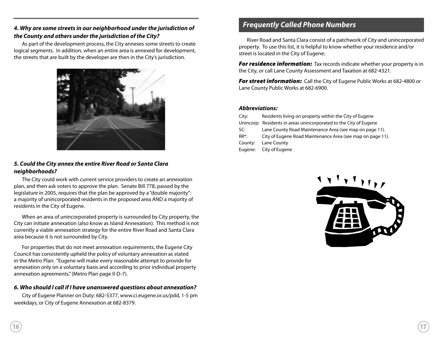## **4. Why are some streets in our neighborhood under the jurisdiction of the County and others under the jurisdiction of the City?**

As part of the development process, the City annexes some streets to create logical segments. In addition, when an entire area is annexed for development, the streets that are built by the developer are then in the City's jurisdiction.



## **5. Could the City annex the entire River Road or Santa Clara neighborhoods?**

The City could work with current service providers to create an annexation plan, and then ask voters to approve the plan. Senate Bill 778, passed by the legislature in 2005, requires that the plan be approved by a "double majority": a majority of unincorporated residents in the proposed area AND a majority of residents in the City of Eugene.

When an area of unincorporated property is surrounded by City property, the City can initiate annexation (also know as Island Annexation). This method is not currently a viable annexation strategy for the entire River Road and Santa Clara area because it is not surrounded by City.

For properties that do not meet annexation requirements, the Eugene City Council has consistently upheld the policy of voluntary annexation as stated in the Metro Plan: "Eugene will make every reasonable attempt to provide for annexation only on a voluntary basis and according to prior individual property annexation agreements." (Metro Plan page II-D-7).

## **6. Who should I call if I have unanswered questions about annexation?**

City of Eugene Planner on Duty: 682-5377, www.ci.eugene.or.us/pdd, 1-5 pm weekdays, or City of Eugene Annexation at 682-8379.

## **Frequently Called Phone Numbers**

River Road and Santa Clara consist of a patchwork of City and unincorporated property. To use this list, it is helpful to know whether your residence and/or street is located in the City of Eugene:

**For residence information:** Tax records indicate whether your property is in the City, or call Lane County Assessment and Taxation at 682-4321.

**For street information:** Call the City of Eugene Public Works at 682-4800 or Lane County Public Works at 682-6900.

#### **Abbreviations:**

| City:    | Residents living on property within the City of Eugene            |
|----------|-------------------------------------------------------------------|
|          | Unincorp: Residents in areas unincorporated to the City of Eugene |
| SC:      | Lane County Road Maintenance Area (see map on page 11).           |
| $RR^*$ : | City of Eugene Road Maintenance Area (see map on page 11).        |
| County:  | Lane County                                                       |
| Eugene:  | City of Eugene                                                    |
|          |                                                                   |

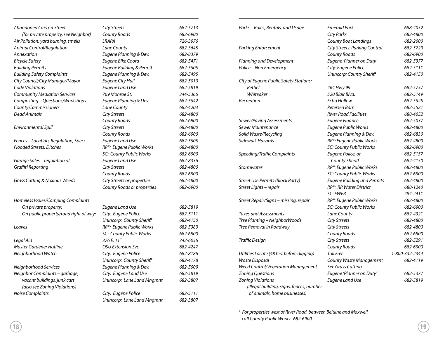| Abandoned Cars on Street                 | <b>City Streets</b>        | 682-5713 |
|------------------------------------------|----------------------------|----------|
| (for private property, see Neighbor)     | <b>County Roads</b>        | 682-6900 |
| Air Pollution: yard burning, smells      | LRAPA                      | 726-3976 |
| Animal Control/Regulation                | Lane County                | 682-3645 |
| Annexation                               | Eugene Planning & Dev.     | 682-8379 |
| <b>Bicycle Safety</b>                    | Eugene Bike Coord          | 682-5471 |
| <b>Building Permits</b>                  | Eugene Building & Permit   | 682-5505 |
| <b>Building Safety Complaints</b>        | Eugene Planning & Dev.     | 682-5495 |
| City Council/City Manager/Mayor          | <b>Eugene City Hall</b>    | 682-5010 |
| Code Violations                          | <b>Eugene Land Use</b>     | 682-5819 |
| <b>Community Mediation Services</b>      | 769 Monroe St.             | 344-5366 |
| Composting - Questions/Workshops         | Eugene Planning & Dev.     | 682-5542 |
| <b>County Commissioners</b>              | <b>Lane County</b>         | 682-4203 |
| Dead Animals                             | <b>City Streets</b>        | 682-4800 |
|                                          | County Roads               | 682-6900 |
| Environmental Spill                      | <b>City Streets</b>        | 682-4800 |
|                                          | <b>County Roads</b>        | 682-6900 |
| Fences - Location, Regulation, Specs     | Eugene Land Use            | 682-5505 |
| <b>Flooded Streets, Ditches</b>          | RR*: Eugene Public Works   | 682-4800 |
|                                          | SC: County Public Works    | 682-6900 |
| Garage Sales - regulation of             | Eugene Land Use            | 682-8336 |
| Graffiti Reporting                       | <b>City Streets</b>        | 682-4800 |
|                                          | <b>County Roads</b>        | 682-6900 |
| <b>Grass Cutting &amp; Noxious Weeds</b> | City Streets or properties | 682-4800 |
|                                          | County Roads or properties | 682-6900 |
| Homeless Issues/Camping Complaints       |                            |          |
| On private property:                     | Eugene Land Use            | 682-5819 |
| On public property/road right of way:    | City: Eugene Police        | 682-5111 |
|                                          | Unincorp: County Sheriff   | 682-4150 |
| Leaves                                   | RR*: Eugene Public Works   | 682-5383 |
|                                          | SC: County Public Works    | 682-6900 |
| Legal Aid                                | 376 E. 11th                | 342-6056 |
| Master Gardener Hotline                  | OSU Extension Svc.         | 682-4247 |
| Neighborhood Watch                       | City: Eugene Police        | 682-8186 |
|                                          | Unincorp: County Sheriff   | 682-4178 |
| Neighborhood Services                    | Eugene Planning & Dev.     | 682-5009 |
| Neighbor Complaints - garbage,           | City: Eugene Land Use      | 682-5819 |
| vacant buildings, junk cars              | Unincorp: Lane Land Mngmnt | 682-3807 |
| (also see Zoning Violations)             |                            |          |
| <b>Noise Complaints</b>                  | City: Eugene Police        | 682-5111 |
|                                          | Unincorp: Lane Land Mngmnt | 682-3807 |
|                                          |                            |          |

| Parks – Rules, Rentals, and Usage                                        | <b>Emerald Park</b>                  | 688-4052       |
|--------------------------------------------------------------------------|--------------------------------------|----------------|
|                                                                          | <b>City Parks</b>                    | 682-4800       |
|                                                                          | <b>County Boat Landings</b>          | 682-2000       |
| <b>Parking Enforcement</b>                                               | <b>City Streets: Parking Control</b> | 682-5729       |
|                                                                          | <b>County Roads</b>                  | 682-6900       |
| Planning and Development                                                 | Eugene 'Planner on Duty'             | 682-5377       |
| Police - Non Emergency                                                   | City: Eugene Police                  | 682-5111       |
|                                                                          | Unincorp: County Sheriff             | 682-4150       |
| City of Eugene Public Safety Stations:                                   |                                      |                |
| <b>Bethel</b>                                                            | 464 Hwy 99                           | 682-5757       |
| Whiteaker                                                                | 520 Blair Blvd.                      | 682-5149       |
| Recreation                                                               | Echo Hollow                          | 682-5525       |
|                                                                          | Petersen Barn                        | 682-5521       |
|                                                                          | <b>River Road Facilities</b>         | 688-4052       |
| Sewer/Paving Assessments                                                 | <b>Eugene Finance</b>                | 682-5037       |
| Sewer Maintenance                                                        | Eugene Public Works                  | 682-4800       |
| Solid Waste/Recycling                                                    | Eugene Planning & Dev.               | 682-6830       |
| Sidewalk Hazards                                                         | RR*: Eugene Public Works             | 682-4800       |
|                                                                          | SC: County Public Works              | 682-6900       |
| Speeding/Traffic Complaints                                              | Eugene Police, or                    | 682-5157       |
|                                                                          | County Sheriff                       | 682-4150       |
| Stormwater                                                               | RR*: Eugene Public Works             | 682-4800       |
|                                                                          | SC: County Public Works              | 682-6900       |
| <b>Street Use Permits (Block Party)</b>                                  | <b>Eugene Building and Permits</b>   | 682-4800       |
| Street Lights - repair                                                   | RR*: RR Water District               | 688-1240       |
|                                                                          | <b>SC: EWEB</b>                      | 484-2411       |
| Street Repair/Signs – missing, repair                                    | RR*: Eugene Public Works             | 682-4800       |
|                                                                          | SC: County Public Works              | 682-6900       |
| Taxes and Assessments                                                    | Lane County                          | 682-4321       |
| Tree Planting – NeighborWoods                                            | <b>City Streets</b>                  | 682-4800       |
| Tree Removal in Roadway                                                  | <b>City Streets</b>                  | 682-4800       |
|                                                                          | <b>County Roads</b>                  | 682-6900       |
| Traffic Design                                                           | <b>City Streets</b>                  | 682-5291       |
|                                                                          | <b>County Roads</b>                  | 682-6900       |
| Utilities Locate (48 hrs. before digging)                                | <b>Toll Free</b>                     | 1-800-332-2344 |
| Waste Disposal                                                           | County Waste Management              | 682-4119       |
| Weed Control/Vegetation Management                                       | See Grass Cutting                    |                |
| <b>Zoning Questions</b>                                                  | Eugene 'Planner on Duty'             | 682-5377       |
| <b>Zoning Violations</b>                                                 | Eugene Land Use                      | 682-5819       |
| (illegal building, signs, fences, number<br>of animals, home businesses) |                                      |                |

\* For properties west of River Road, between Beltline and Maxwell, call County Public Works: 682-6900.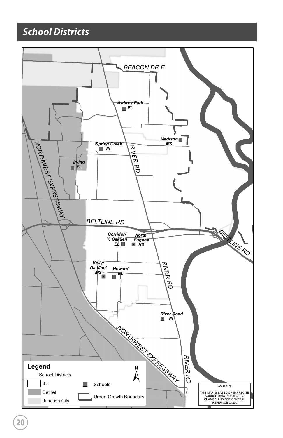# **School Districts**